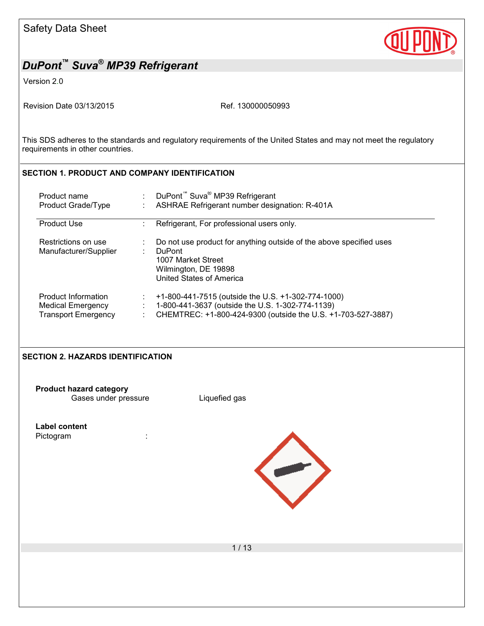

Version 2.0

Revision Date 03/13/2015 Revision Date 03/13/2015

This SDS adheres to the standards and regulatory requirements of the United States and may not meet the regulatory requirements in other countries.

### **SECTION 1. PRODUCT AND COMPANY IDENTIFICATION**

| Product name                                 | DuPont <sup>™</sup> Suva <sup>®</sup> MP39 Refrigerant                                                                                                         |
|----------------------------------------------|----------------------------------------------------------------------------------------------------------------------------------------------------------------|
| Product Grade/Type                           | ASHRAE Refrigerant number designation: R-401A                                                                                                                  |
| <b>Product Use</b>                           | Refrigerant, For professional users only.                                                                                                                      |
| Restrictions on use<br>Manufacturer/Supplier | Do not use product for anything outside of the above specified uses<br><b>DuPont</b><br>1007 Market Street<br>Wilmington, DE 19898<br>United States of America |
| Product Information                          | +1-800-441-7515 (outside the U.S. +1-302-774-1000)                                                                                                             |
| Medical Emergency                            | 1-800-441-3637 (outside the U.S. 1-302-774-1139)                                                                                                               |
| <b>Transport Emergency</b>                   | CHEMTREC: +1-800-424-9300 (outside the U.S. +1-703-527-3887)                                                                                                   |

#### **SECTION 2. HAZARDS IDENTIFICATION**

**Product hazard category** Gases under pressure Liquefied gas

**Label content** Pictogram :

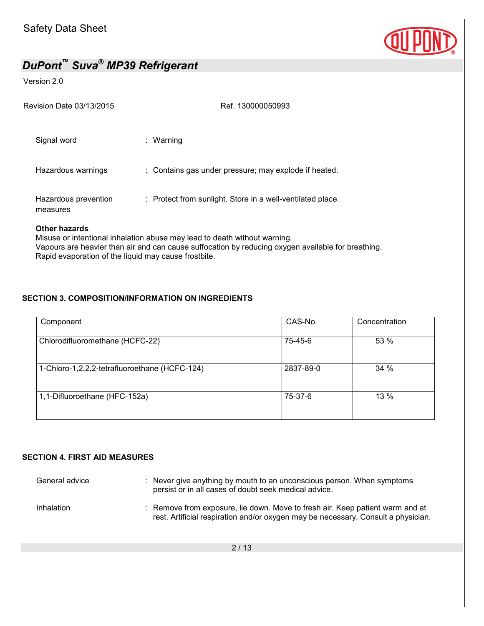

#### Version 2.0

| Revision Date 03/13/2015         | Ref. 130000050993                                          |
|----------------------------------|------------------------------------------------------------|
| Signal word                      | : Warning                                                  |
| Hazardous warnings               | : Contains gas under pressure; may explode if heated.      |
| Hazardous prevention<br>measures | : Protect from sunlight. Store in a well-ventilated place. |

### **Other hazards**

Misuse or intentional inhalation abuse may lead to death without warning. Vapours are heavier than air and can cause suffocation by reducing oxygen available for breathing. Rapid evaporation of the liquid may cause frostbite.

### **SECTION 3. COMPOSITION/INFORMATION ON INGREDIENTS**

| Component                                     | CAS-No.   | Concentration |
|-----------------------------------------------|-----------|---------------|
| Chlorodifluoromethane (HCFC-22)               | 75-45-6   | 53 %          |
| 1-Chloro-1,2,2,2-tetrafluoroethane (HCFC-124) | 2837-89-0 | 34%           |
| 1,1-Difluoroethane (HFC-152a)                 | 75-37-6   | 13 %          |

### **SECTION 4. FIRST AID MEASURES**

General advice : Never give anything by mouth to an unconscious person. When symptoms persist or in all cases of doubt seek medical advice.

- Inhalation : Remove from exposure, lie down. Move to fresh air. Keep patient warm and at
	- rest. Artificial respiration and/or oxygen may be necessary. Consult a physician.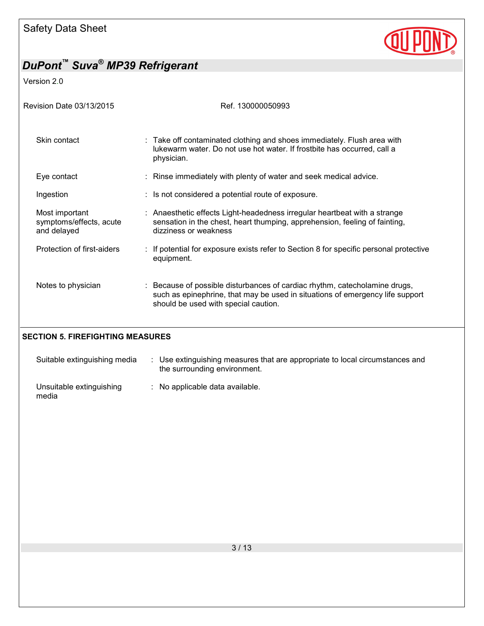

Version 2.0

| Revision Date 03/13/2015                                 | Ref. 130000050993                                                                                                                                                                                   |
|----------------------------------------------------------|-----------------------------------------------------------------------------------------------------------------------------------------------------------------------------------------------------|
| Skin contact                                             | : Take off contaminated clothing and shoes immediately. Flush area with<br>lukewarm water. Do not use hot water. If frostbite has occurred, call a<br>physician.                                    |
| Eye contact                                              | : Rinse immediately with plenty of water and seek medical advice.                                                                                                                                   |
| Ingestion                                                | : Is not considered a potential route of exposure.                                                                                                                                                  |
| Most important<br>symptoms/effects, acute<br>and delayed | : Anaesthetic effects Light-headedness irregular heartbeat with a strange<br>sensation in the chest, heart thumping, apprehension, feeling of fainting,<br>dizziness or weakness                    |
| Protection of first-aiders                               | : If potential for exposure exists refer to Section 8 for specific personal protective<br>equipment.                                                                                                |
| Notes to physician                                       | : Because of possible disturbances of cardiac rhythm, catecholamine drugs,<br>such as epinephrine, that may be used in situations of emergency life support<br>should be used with special caution. |

### **SECTION 5. FIREFIGHTING MEASURES**

| Suitable extinguishing media      | the surrounding environment.    | Use extinguishing measures that are appropriate to local circumstances and |
|-----------------------------------|---------------------------------|----------------------------------------------------------------------------|
| Unsuitable extinguishing<br>media | : No applicable data available. |                                                                            |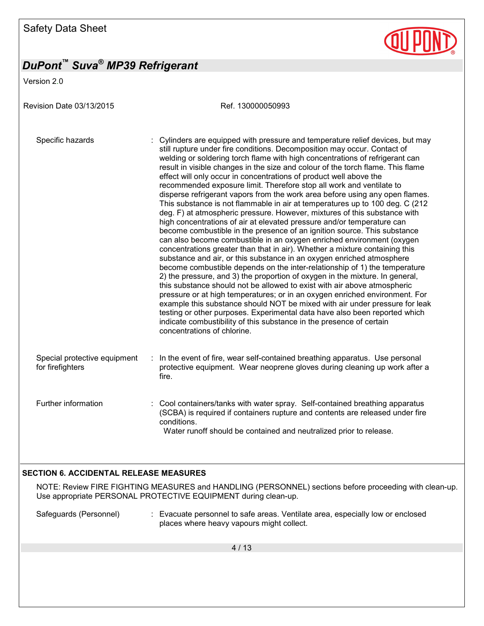Version 2.0

Revision Date 03/13/2015 Ref. 130000050993 Specific hazards : Cylinders are equipped with pressure and temperature relief devices, but may still rupture under fire conditions. Decomposition may occur. Contact of welding or soldering torch flame with high concentrations of refrigerant can result in visible changes in the size and colour of the torch flame. This flame effect will only occur in concentrations of product well above the recommended exposure limit. Therefore stop all work and ventilate to disperse refrigerant vapors from the work area before using any open flames. This substance is not flammable in air at temperatures up to 100 deg. C (212 deg. F) at atmospheric pressure. However, mixtures of this substance with high concentrations of air at elevated pressure and/or temperature can become combustible in the presence of an ignition source. This substance can also become combustible in an oxygen enriched environment (oxygen concentrations greater than that in air). Whether a mixture containing this substance and air, or this substance in an oxygen enriched atmosphere become combustible depends on the inter-relationship of 1) the temperature 2) the pressure, and 3) the proportion of oxygen in the mixture. In general, this substance should not be allowed to exist with air above atmospheric pressure or at high temperatures; or in an oxygen enriched environment. For example this substance should NOT be mixed with air under pressure for leak testing or other purposes. Experimental data have also been reported which indicate combustibility of this substance in the presence of certain concentrations of chlorine. Special protective equipment for firefighters : In the event of fire, wear self-contained breathing apparatus. Use personal protective equipment. Wear neoprene gloves during cleaning up work after a fire. Further information : Cool containers/tanks with water spray. Self-contained breathing apparatus (SCBA) is required if containers rupture and contents are released under fire conditions. Water runoff should be contained and neutralized prior to release. **SECTION 6. ACCIDENTAL RELEASE MEASURES** 

### NOTE: Review FIRE FIGHTING MEASURES and HANDLING (PERSONNEL) sections before proceeding with clean-up. Use appropriate PERSONAL PROTECTIVE EQUIPMENT during clean-up.

Safeguards (Personnel) : Evacuate personnel to safe areas. Ventilate area, especially low or enclosed places where heavy vapours might collect.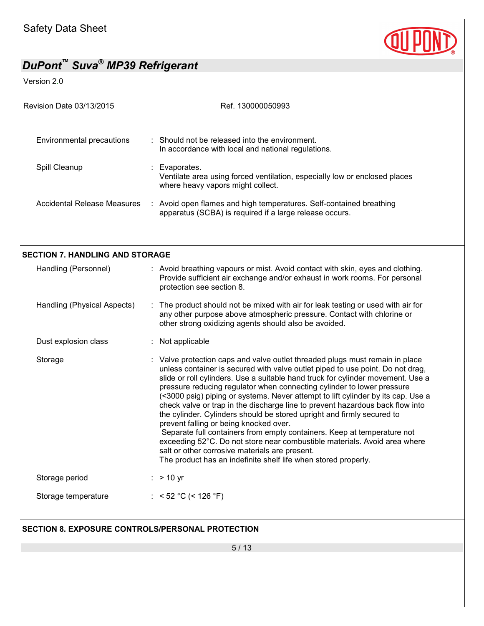

Version 2.0

| Revision Date 03/13/2015                                       | Ref. 130000050993                                                                                                                                                                                                                                                                                                                                                                                                                                                                                                                                                                                                                                                                                                                                                                                                                                                                                |
|----------------------------------------------------------------|--------------------------------------------------------------------------------------------------------------------------------------------------------------------------------------------------------------------------------------------------------------------------------------------------------------------------------------------------------------------------------------------------------------------------------------------------------------------------------------------------------------------------------------------------------------------------------------------------------------------------------------------------------------------------------------------------------------------------------------------------------------------------------------------------------------------------------------------------------------------------------------------------|
| <b>Environmental precautions</b>                               | : Should not be released into the environment.<br>In accordance with local and national regulations.                                                                                                                                                                                                                                                                                                                                                                                                                                                                                                                                                                                                                                                                                                                                                                                             |
| Spill Cleanup                                                  | : Evaporates.<br>Ventilate area using forced ventilation, especially low or enclosed places<br>where heavy vapors might collect.                                                                                                                                                                                                                                                                                                                                                                                                                                                                                                                                                                                                                                                                                                                                                                 |
| <b>Accidental Release Measures</b>                             | : Avoid open flames and high temperatures. Self-contained breathing<br>apparatus (SCBA) is required if a large release occurs.                                                                                                                                                                                                                                                                                                                                                                                                                                                                                                                                                                                                                                                                                                                                                                   |
|                                                                |                                                                                                                                                                                                                                                                                                                                                                                                                                                                                                                                                                                                                                                                                                                                                                                                                                                                                                  |
| <b>SECTION 7. HANDLING AND STORAGE</b><br>Handling (Personnel) | : Avoid breathing vapours or mist. Avoid contact with skin, eyes and clothing.<br>Provide sufficient air exchange and/or exhaust in work rooms. For personal<br>protection see section 8.                                                                                                                                                                                                                                                                                                                                                                                                                                                                                                                                                                                                                                                                                                        |
| Handling (Physical Aspects)                                    | : The product should not be mixed with air for leak testing or used with air for<br>any other purpose above atmospheric pressure. Contact with chlorine or<br>other strong oxidizing agents should also be avoided.                                                                                                                                                                                                                                                                                                                                                                                                                                                                                                                                                                                                                                                                              |
| Dust explosion class                                           | : Not applicable                                                                                                                                                                                                                                                                                                                                                                                                                                                                                                                                                                                                                                                                                                                                                                                                                                                                                 |
| Storage                                                        | : Valve protection caps and valve outlet threaded plugs must remain in place<br>unless container is secured with valve outlet piped to use point. Do not drag,<br>slide or roll cylinders. Use a suitable hand truck for cylinder movement. Use a<br>pressure reducing regulator when connecting cylinder to lower pressure<br>(<3000 psig) piping or systems. Never attempt to lift cylinder by its cap. Use a<br>check valve or trap in the discharge line to prevent hazardous back flow into<br>the cylinder. Cylinders should be stored upright and firmly secured to<br>prevent falling or being knocked over.<br>Separate full containers from empty containers. Keep at temperature not<br>exceeding 52°C. Do not store near combustible materials. Avoid area where<br>salt or other corrosive materials are present.<br>The product has an indefinite shelf life when stored properly. |
| Storage period                                                 | $:$ > 10 yr                                                                                                                                                                                                                                                                                                                                                                                                                                                                                                                                                                                                                                                                                                                                                                                                                                                                                      |
| Storage temperature                                            | : < 52 °C (< 126 °F)                                                                                                                                                                                                                                                                                                                                                                                                                                                                                                                                                                                                                                                                                                                                                                                                                                                                             |
| <b>SECTION 8. EXPOSURE CONTROLS/PERSONAL PROTECTION</b>        |                                                                                                                                                                                                                                                                                                                                                                                                                                                                                                                                                                                                                                                                                                                                                                                                                                                                                                  |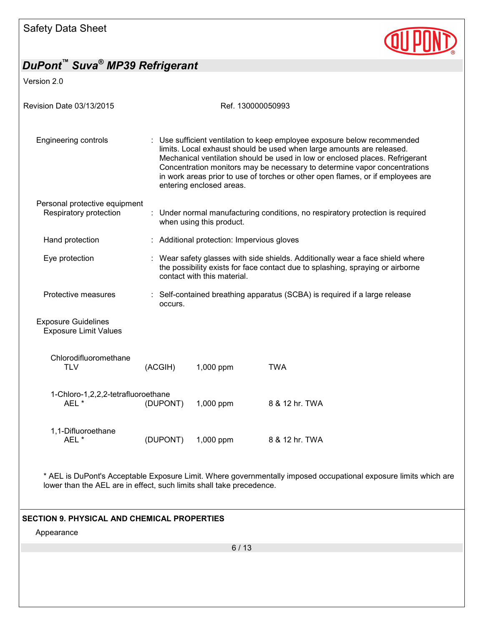

Version 2.0

| <b>Revision Date 03/13/2015</b>                            |          | Ref. 130000050993                          |                                                                                                                                                                                                                                                                                                                                                                                                   |
|------------------------------------------------------------|----------|--------------------------------------------|---------------------------------------------------------------------------------------------------------------------------------------------------------------------------------------------------------------------------------------------------------------------------------------------------------------------------------------------------------------------------------------------------|
| <b>Engineering controls</b>                                |          | entering enclosed areas.                   | : Use sufficient ventilation to keep employee exposure below recommended<br>limits. Local exhaust should be used when large amounts are released.<br>Mechanical ventilation should be used in low or enclosed places. Refrigerant<br>Concentration monitors may be necessary to determine vapor concentrations<br>in work areas prior to use of torches or other open flames, or if employees are |
| Personal protective equipment<br>Respiratory protection    |          | when using this product.                   | : Under normal manufacturing conditions, no respiratory protection is required                                                                                                                                                                                                                                                                                                                    |
| Hand protection                                            |          | : Additional protection: Impervious gloves |                                                                                                                                                                                                                                                                                                                                                                                                   |
| Eye protection                                             |          | contact with this material.                | : Wear safety glasses with side shields. Additionally wear a face shield where<br>the possibility exists for face contact due to splashing, spraying or airborne                                                                                                                                                                                                                                  |
| Protective measures                                        | occurs.  |                                            | : Self-contained breathing apparatus (SCBA) is required if a large release                                                                                                                                                                                                                                                                                                                        |
| <b>Exposure Guidelines</b><br><b>Exposure Limit Values</b> |          |                                            |                                                                                                                                                                                                                                                                                                                                                                                                   |
| Chlorodifluoromethane<br><b>TLV</b>                        | (ACGIH)  | 1,000 ppm                                  | <b>TWA</b>                                                                                                                                                                                                                                                                                                                                                                                        |
| 1-Chloro-1,2,2,2-tetrafluoroethane<br>AEL*                 | (DUPONT) | 1,000 ppm                                  | 8 & 12 hr. TWA                                                                                                                                                                                                                                                                                                                                                                                    |
| 1,1-Difluoroethane<br>AEL*                                 | (DUPONT) | 1,000 ppm                                  | 8 & 12 hr. TWA                                                                                                                                                                                                                                                                                                                                                                                    |
|                                                            |          |                                            |                                                                                                                                                                                                                                                                                                                                                                                                   |

\* AEL is DuPont's Acceptable Exposure Limit. Where governmentally imposed occupational exposure limits which are lower than the AEL are in effect, such limits shall take precedence.

### **SECTION 9. PHYSICAL AND CHEMICAL PROPERTIES**

Appearance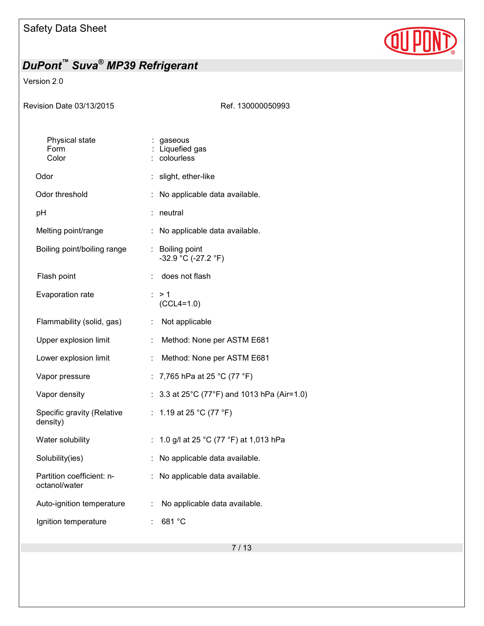

### Version 2.0

Ref. 130000050993

| Physical state<br>Form<br>Color            | gaseous<br>Liquefied gas<br>colourless                  |
|--------------------------------------------|---------------------------------------------------------|
| Odor                                       | : slight, ether-like                                    |
| Odor threshold                             | No applicable data available.                           |
| рH                                         | neutral<br>İ,                                           |
| Melting point/range                        | ÷<br>No applicable data available.                      |
| Boiling point/boiling range                | <b>Boiling point</b><br>t.<br>$-32.9 °C (-27.2 °F)$     |
| Flash point                                | does not flash<br>÷                                     |
| Evaporation rate                           | : > 1<br>$(CCL4=1.0)$                                   |
| Flammability (solid, gas)                  | Not applicable<br>÷                                     |
| Upper explosion limit                      | ř.<br>Method: None per ASTM E681                        |
| Lower explosion limit                      | Method: None per ASTM E681<br>Î,                        |
| Vapor pressure                             | 7,765 hPa at 25 °C (77 °F)<br>÷.                        |
| Vapor density                              | 3.3 at 25°C (77°F) and 1013 hPa (Air=1.0)               |
| Specific gravity (Relative<br>density)     | 1.19 at 25 °C (77 °F)<br>t.                             |
| Water solubility                           | 1.0 g/l at 25 °C (77 °F) at 1,013 hPa<br>$\ddot{\cdot}$ |
| Solubility(ies)                            | No applicable data available.<br>t,                     |
| Partition coefficient: n-<br>octanol/water | No applicable data available.<br>÷                      |
| Auto-ignition temperature                  | No applicable data available.<br>÷.                     |
| Ignition temperature                       | 681 °C<br>t                                             |
|                                            |                                                         |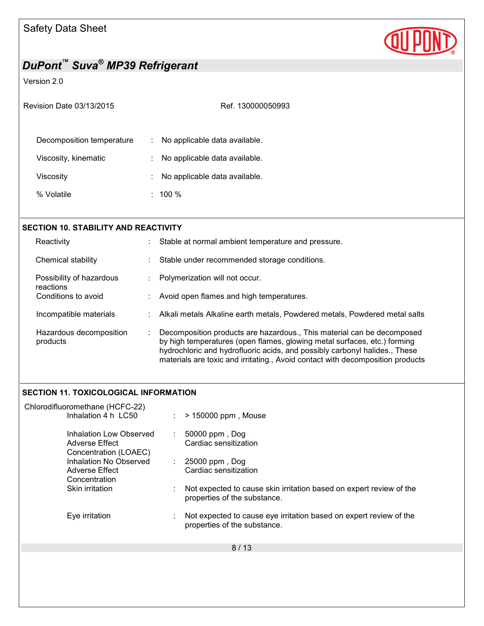

### Version 2.0

|  | Revision Date 03/13/2015 |
|--|--------------------------|
|  |                          |

Ref. 130000050993

| Decomposition temperature | : No applicable data available. |
|---------------------------|---------------------------------|
| Viscosity, kinematic      | : No applicable data available. |
| Viscosity                 | : No applicable data available. |
| % Volatile                | : $100\%$                       |

| <b>SECTION 10. STABILITY AND REACTIVITY</b> |   |                                                                                                                                                                                                                                                                                                                    |  |
|---------------------------------------------|---|--------------------------------------------------------------------------------------------------------------------------------------------------------------------------------------------------------------------------------------------------------------------------------------------------------------------|--|
| Reactivity                                  |   | Stable at normal ambient temperature and pressure.                                                                                                                                                                                                                                                                 |  |
| Chemical stability                          |   | Stable under recommended storage conditions.                                                                                                                                                                                                                                                                       |  |
| Possibility of hazardous<br>reactions       |   | Polymerization will not occur.                                                                                                                                                                                                                                                                                     |  |
| Conditions to avoid                         |   | Avoid open flames and high temperatures.                                                                                                                                                                                                                                                                           |  |
| Incompatible materials                      |   | Alkali metals Alkaline earth metals, Powdered metals, Powdered metal salts                                                                                                                                                                                                                                         |  |
| Hazardous decomposition<br>products         | ÷ | Decomposition products are hazardous., This material can be decomposed<br>by high temperatures (open flames, glowing metal surfaces, etc.) forming<br>hydrochloric and hydrofluoric acids, and possibly carbonyl halides., These<br>materials are toxic and irritating., Avoid contact with decomposition products |  |

### **SECTION 11. TOXICOLOGICAL INFORMATION**

| Chlorodifluoromethane (HCFC-22)                                    |                                                                                                     |
|--------------------------------------------------------------------|-----------------------------------------------------------------------------------------------------|
| Inhalation 4 h LC50                                                | > 150000 ppm, Mouse                                                                                 |
| Inhalation Low Observed<br>Adverse Effect<br>Concentration (LOAEC) | 50000 ppm, Dog<br>÷.<br>Cardiac sensitization                                                       |
| Inhalation No Observed                                             | 25000 ppm, Dog<br>÷.                                                                                |
| Adverse Effect                                                     | Cardiac sensitization                                                                               |
| Concentration                                                      |                                                                                                     |
| Skin irritation                                                    | Not expected to cause skin irritation based on expert review of the<br>properties of the substance. |
| Eye irritation                                                     | Not expected to cause eye irritation based on expert review of the<br>properties of the substance.  |
|                                                                    | 8/13                                                                                                |
|                                                                    |                                                                                                     |
|                                                                    |                                                                                                     |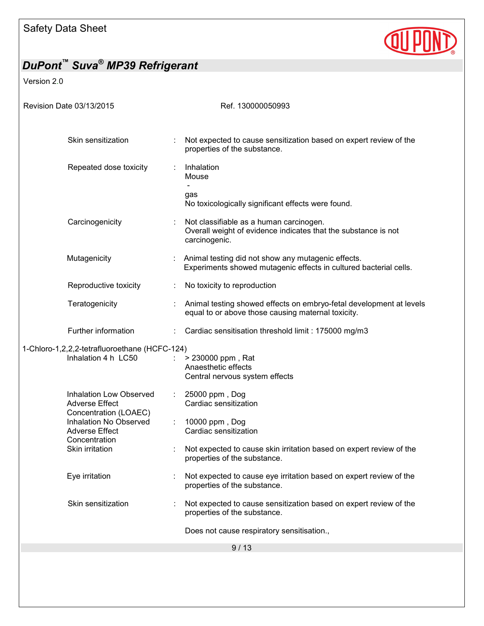

## *DuPont™ Suva® MP39 Refrigerant*  Version 2.0 Revision Date 03/13/2015 Revision Date 03/13/2015 9 / 13 Skin sensitization : Not expected to cause sensitization based on expert review of the properties of the substance. Repeated dose toxicity : Inhalation **Mouse**  gas No toxicologically significant effects were found. Carcinogenicity : Not classifiable as a human carcinogen. Overall weight of evidence indicates that the substance is not carcinogenic. Mutagenicity **interest in the State of Animal testing did not show any mutagenic effects.** Experiments showed mutagenic effects in cultured bacterial cells. Reproductive toxicity **:** No toxicity to reproduction Teratogenicity **in the Community of the Communist** Constant and the Constanting Showed effects on embryo-fetal development at levels equal to or above those causing maternal toxicity. Further information : Cardiac sensitisation threshold limit : 175000 mg/m3 1-Chloro-1,2,2,2-tetrafluoroethane (HCFC-124) Inhalation 4 h  $LC50$  :  $> 230000$  ppm, Rat Anaesthetic effects Central nervous system effects Inhalation Low Observed Adverse Effect Concentration (LOAEC) : 25000 ppm , Dog Cardiac sensitization Inhalation No Observed Adverse Effect Concentration : 10000 ppm , Dog Cardiac sensitization Skin irritation : Not expected to cause skin irritation based on expert review of the properties of the substance. Eye irritation : Not expected to cause eye irritation based on expert review of the properties of the substance. Skin sensitization : Not expected to cause sensitization based on expert review of the properties of the substance. Does not cause respiratory sensitisation.,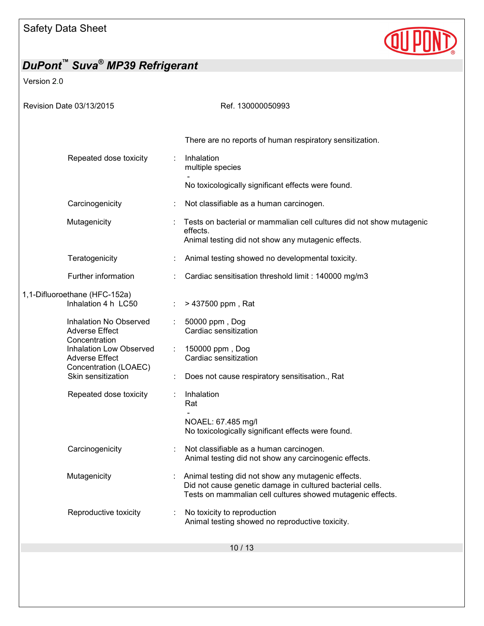

## *DuPont™ Suva® MP39 Refrigerant*  Version 2.0 Revision Date 03/13/2015 Revision Date 03/13/2015 There are no reports of human respiratory sensitization. Repeated dose toxicity : Inhalation multiple species - No toxicologically significant effects were found. Carcinogenicity : Not classifiable as a human carcinogen. Mutagenicity : Tests on bacterial or mammalian cell cultures did not show mutagenic effects. Animal testing did not show any mutagenic effects. Teratogenicity **Example 20** : Animal testing showed no developmental toxicity. Further information : Cardiac sensitisation threshold limit : 140000 mg/m3 1,1-Difluoroethane (HFC-152a) Inhalation 4 h  $LC50$  :  $> 437500$  ppm, Rat Inhalation No Observed Adverse Effect Concentration : 50000 ppm , Dog Cardiac sensitization Inhalation Low Observed Adverse Effect Concentration (LOAEC) : 150000 ppm , Dog Cardiac sensitization Skin sensitization : Does not cause respiratory sensitisation., Rat Repeated dose toxicity : Inhalation Rat - NOAEL: 67.485 mg/l No toxicologically significant effects were found. Carcinogenicity : Not classifiable as a human carcinogen. Animal testing did not show any carcinogenic effects. Mutagenicity : Animal testing did not show any mutagenic effects. Did not cause genetic damage in cultured bacterial cells. Tests on mammalian cell cultures showed mutagenic effects. Reproductive toxicity : No toxicity to reproduction Animal testing showed no reproductive toxicity.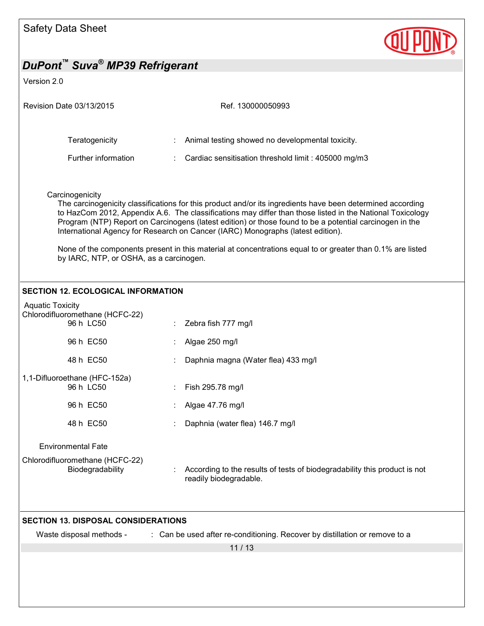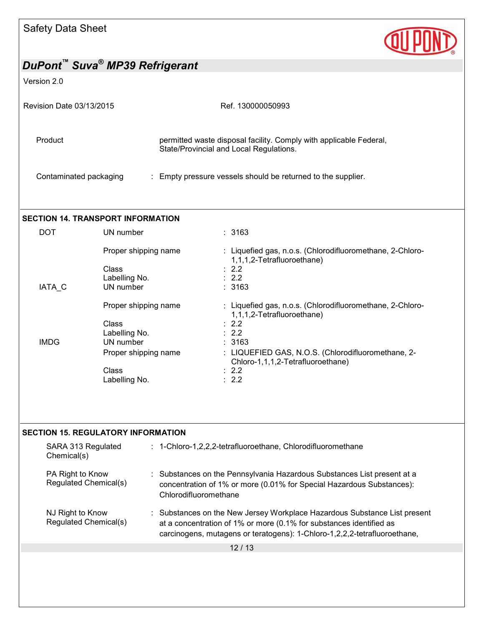

Version 2.0

| Revision Date 03/13/2015 | Ref. 130000050993                                                                                             |
|--------------------------|---------------------------------------------------------------------------------------------------------------|
| Product                  | permitted waste disposal facility. Comply with applicable Federal,<br>State/Provincial and Local Regulations. |
| Contaminated packaging   | : Empty pressure vessels should be returned to the supplier.                                                  |

## **SECTION 14. TRANSPORT INFORMATION**

| <b>DOT</b>  | UN number            | : 3163                                                                                  |
|-------------|----------------------|-----------------------------------------------------------------------------------------|
|             | Proper shipping name | : Liquefied gas, n.o.s. (Chlorodifluoromethane, 2-Chloro-<br>1,1,1,2-Tetrafluoroethane) |
|             | Class                | $\therefore$ 2.2                                                                        |
|             | Labelling No.        | $\therefore$ 2.2                                                                        |
| IATA C      | UN number            | : 3163                                                                                  |
|             | Proper shipping name | : Liquefied gas, n.o.s. (Chlorodifluoromethane, 2-Chloro-<br>1,1,1,2-Tetrafluoroethane) |
|             | Class                | $\therefore$ 2.2                                                                        |
|             | Labelling No.        | $\therefore$ 2.2                                                                        |
| <b>IMDG</b> | UN number            | : 3163                                                                                  |
|             | Proper shipping name | : LIQUEFIED GAS, N.O.S. (Chlorodifluoromethane, 2-<br>Chloro-1,1,1,2-Tetrafluoroethane) |
|             | Class                | $\therefore$ 2.2                                                                        |
|             | Labelling No.        | $\therefore$ 2.2                                                                        |

#### **SECTION 15. REGULATORY INFORMATION**

| SARA 313 Regulated<br>Chemical(s)         | : 1-Chloro-1,2,2,2-tetrafluoroethane, Chlorodifluoromethane                                                                                                                                                                   |
|-------------------------------------------|-------------------------------------------------------------------------------------------------------------------------------------------------------------------------------------------------------------------------------|
| PA Right to Know<br>Regulated Chemical(s) | : Substances on the Pennsylvania Hazardous Substances List present at a<br>concentration of 1% or more (0.01% for Special Hazardous Substances):<br>Chlorodifluoromethane                                                     |
| NJ Right to Know<br>Regulated Chemical(s) | : Substances on the New Jersey Workplace Hazardous Substance List present<br>at a concentration of 1% or more (0.1% for substances identified as<br>carcinogens, mutagens or teratogens): 1-Chloro-1,2,2,2-tetrafluoroethane, |
|                                           | 12 / 13                                                                                                                                                                                                                       |